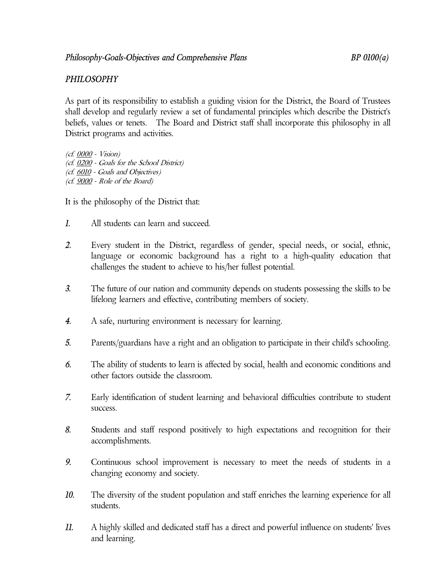## *PHILOSOPHY*

As part of its responsibility to establish a guiding vision for the District, the Board of Trustees shall develop and regularly review a set of fundamental principles which describe the District's beliefs, values or tenets. The Board and District staff shall incorporate this philosophy in all District programs and activities.

(cf. 0000 - Vision) (cf. 0200 - Goals for the School District) (cf. 6010 - Goals and Objectives) (cf. 9000 - Role of the Board)

It is the philosophy of the District that:

- *1.* All students can learn and succeed.
- *2.* Every student in the District, regardless of gender, special needs, or social, ethnic, language or economic background has a right to a high-quality education that challenges the student to achieve to his/her fullest potential.
- *3.* The future of our nation and community depends on students possessing the skills to be lifelong learners and effective, contributing members of society.
- *4.* A safe, nurturing environment is necessary for learning.
- *5.* Parents/guardians have a right and an obligation to participate in their child's schooling.
- *6.* The ability of students to learn is affected by social, health and economic conditions and other factors outside the classroom.
- *7.* Early identification of student learning and behavioral difficulties contribute to student success.
- *8.* Students and staff respond positively to high expectations and recognition for their accomplishments.
- *9.* Continuous school improvement is necessary to meet the needs of students in a changing economy and society.
- *10.* The diversity of the student population and staff enriches the learning experience for all students.
- *11.* A highly skilled and dedicated staff has a direct and powerful influence on students' lives and learning.